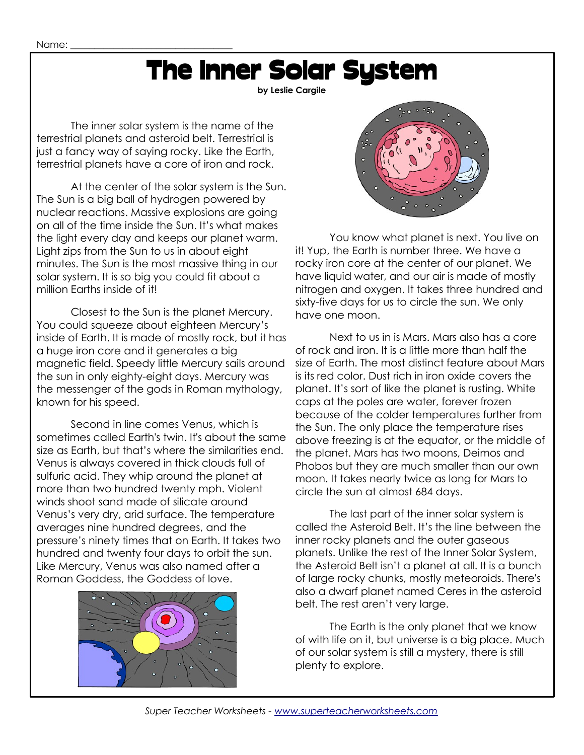# The Inner Solar System

**by Leslie Cargile**

The inner solar system is the name of the terrestrial planets and asteroid belt. Terrestrial is just a fancy way of saying rocky. Like the Earth, terrestrial planets have a core of iron and rock.

At the center of the solar system is the Sun. The Sun is a big ball of hydrogen powered by nuclear reactions. Massive explosions are going on all of the time inside the Sun. It's what makes the light every day and keeps our planet warm. Light zips from the Sun to us in about eight minutes. The Sun is the most massive thing in our solar system. It is so big you could fit about a million Earths inside of it!

Closest to the Sun is the planet Mercury. You could squeeze about eighteen Mercury's inside of Earth. It is made of mostly rock, but it has a huge iron core and it generates a big magnetic field. Speedy little Mercury sails around the sun in only eighty-eight days. Mercury was the messenger of the gods in Roman mythology, known for his speed.

Second in line comes Venus, which is sometimes called Earth's twin. It's about the same size as Earth, but that's where the similarities end. Venus is always covered in thick clouds full of sulfuric acid. They whip around the planet at more than two hundred twenty mph. Violent winds shoot sand made of silicate around Venus's very dry, arid surface. The temperature averages nine hundred degrees, and the pressure's ninety times that on Earth. It takes two hundred and twenty four days to orbit the sun. Like Mercury, Venus was also named after a Roman Goddess, the Goddess of love.





You know what planet is next. You live on it! Yup, the Earth is number three. We have a rocky iron core at the center of our planet. We have liquid water, and our air is made of mostly nitrogen and oxygen. It takes three hundred and sixty-five days for us to circle the sun. We only have one moon.

Next to us in is Mars. Mars also has a core of rock and iron. It is a little more than half the size of Earth. The most distinct feature about Mars is its red color. Dust rich in iron oxide covers the planet. It's sort of like the planet is rusting. White caps at the poles are water, forever frozen because of the colder temperatures further from the Sun. The only place the temperature rises above freezing is at the equator, or the middle of the planet. Mars has two moons, Deimos and Phobos but they are much smaller than our own moon. It takes nearly twice as long for Mars to circle the sun at almost 684 days.

The last part of the inner solar system is called the Asteroid Belt. It's the line between the inner rocky planets and the outer gaseous planets. Unlike the rest of the Inner Solar System, the Asteroid Belt isn't a planet at all. It is a bunch of large rocky chunks, mostly meteoroids. There's also a dwarf planet named Ceres in the asteroid belt. The rest aren't very large.

The Earth is the only planet that we know of with life on it, but universe is a big place. Much of our solar system is still a mystery, there is still plenty to explore.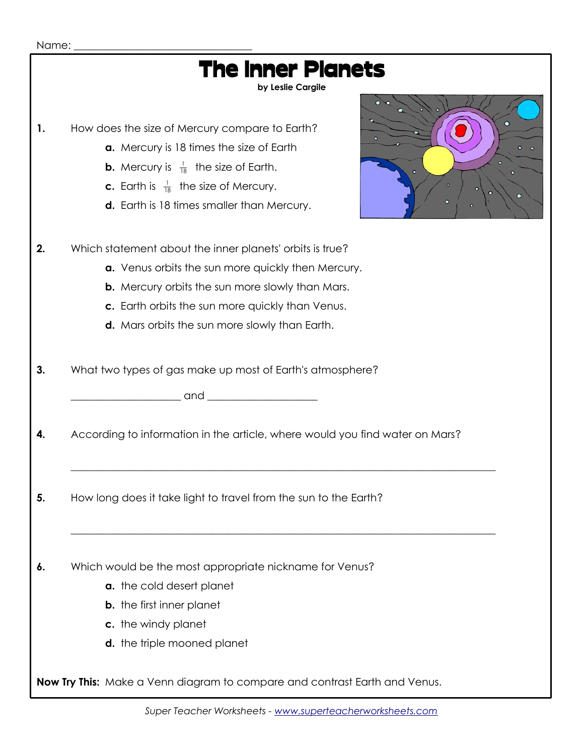| Name: |                                                                                                                                                                                                                                                                                             |
|-------|---------------------------------------------------------------------------------------------------------------------------------------------------------------------------------------------------------------------------------------------------------------------------------------------|
|       | <b>The Inner Planets</b><br>by Leslie Cargile                                                                                                                                                                                                                                               |
| 1.    | о<br>How does the size of Mercury compare to Earth?<br>о<br>a. Mercury is 18 times the size of Earth<br><b>b.</b> Mercury is $\frac{1}{18}$ the size of Earth.<br><b>c.</b> Earth is $\frac{1}{18}$ the size of Mercury.<br>о<br><b>d.</b> Earth is 18 times smaller than Mercury.<br>ō     |
| 2.    | Which statement about the inner planets' orbits is true?<br>a. Venus orbits the sun more quickly then Mercury.<br><b>b.</b> Mercury orbits the sun more slowly than Mars.<br>c. Earth orbits the sun more quickly than Venus.<br><b>d.</b> Mars orbits the sun more slowly than Earth.      |
| 3.    | What two types of gas make up most of Earth's atmosphere?<br>and and services and services are the series of the series of the series of the series of the series of the series of the series of the series of the series of the series of the series of the series of the series of the se |
| 4.    | According to information in the article, where would you find water on Mars?                                                                                                                                                                                                                |
| 5.    | How long does it take light to travel from the sun to the Earth?                                                                                                                                                                                                                            |
| 6.    | Which would be the most appropriate nickname for Venus?<br>a. the cold desert planet<br><b>b.</b> the first inner planet<br>c. the windy planet<br><b>d.</b> the triple mooned planet                                                                                                       |
|       | Now Try This: Make a Venn diagram to compare and contrast Earth and Venus.                                                                                                                                                                                                                  |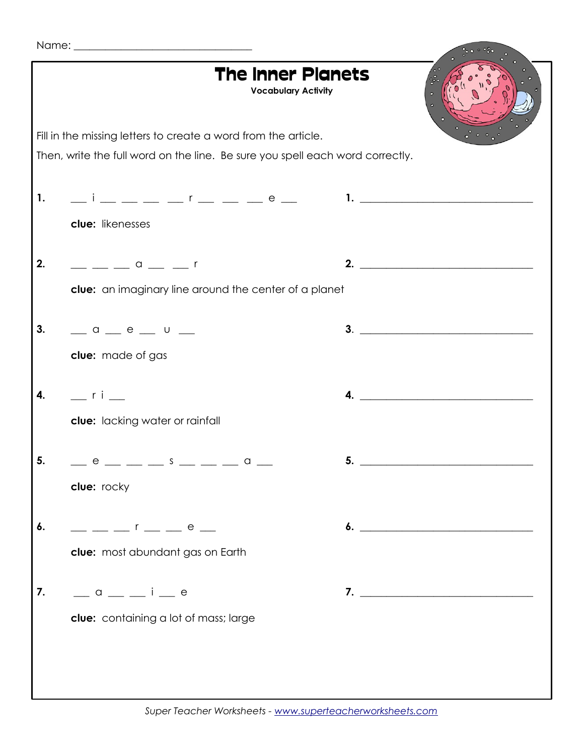|  | Name: |  |
|--|-------|--|
|  |       |  |

|                                                                               |                                                                                                                                                                      | <b>The Inner Planets</b><br><b>Vocabulary Activity</b> |  |                             |  |  |  |  |  |
|-------------------------------------------------------------------------------|----------------------------------------------------------------------------------------------------------------------------------------------------------------------|--------------------------------------------------------|--|-----------------------------|--|--|--|--|--|
| Fill in the missing letters to create a word from the article.                |                                                                                                                                                                      |                                                        |  |                             |  |  |  |  |  |
| Then, write the full word on the line. Be sure you spell each word correctly. |                                                                                                                                                                      |                                                        |  |                             |  |  |  |  |  |
|                                                                               |                                                                                                                                                                      |                                                        |  |                             |  |  |  |  |  |
| 1.                                                                            |                                                                                                                                                                      |                                                        |  |                             |  |  |  |  |  |
|                                                                               | clue: likenesses                                                                                                                                                     |                                                        |  |                             |  |  |  |  |  |
|                                                                               |                                                                                                                                                                      |                                                        |  |                             |  |  |  |  |  |
| 2.                                                                            | $\frac{1}{\sqrt{1-\frac{1}{2}}}$ $\frac{1}{\sqrt{1-\frac{1}{2}}}$ $\frac{1}{\sqrt{1-\frac{1}{2}}}$ $\frac{1}{\sqrt{1-\frac{1}{2}}}$ $\frac{1}{\sqrt{1-\frac{1}{2}}}$ |                                                        |  | 2. $\qquad \qquad$          |  |  |  |  |  |
|                                                                               | clue: an imaginary line around the center of a planet                                                                                                                |                                                        |  |                             |  |  |  |  |  |
|                                                                               |                                                                                                                                                                      |                                                        |  |                             |  |  |  |  |  |
| 3.                                                                            | $\frac{1}{2}$ a $\frac{1}{2}$ e $\frac{1}{2}$ u $\frac{1}{2}$                                                                                                        |                                                        |  | 3.                          |  |  |  |  |  |
|                                                                               | clue: made of gas                                                                                                                                                    |                                                        |  |                             |  |  |  |  |  |
| 4.                                                                            | $\equiv$ ri $\equiv$                                                                                                                                                 |                                                        |  | $\overline{a}$ .            |  |  |  |  |  |
|                                                                               |                                                                                                                                                                      |                                                        |  |                             |  |  |  |  |  |
|                                                                               | clue: lacking water or rainfall                                                                                                                                      |                                                        |  |                             |  |  |  |  |  |
| 5.                                                                            | _ e _ _ _ s _ _ _ a _                                                                                                                                                |                                                        |  |                             |  |  |  |  |  |
|                                                                               | clue: rocky                                                                                                                                                          |                                                        |  |                             |  |  |  |  |  |
|                                                                               |                                                                                                                                                                      |                                                        |  |                             |  |  |  |  |  |
| 6.                                                                            | $   r$ $  e$ $-$                                                                                                                                                     |                                                        |  | 6. $\overline{\phantom{a}}$ |  |  |  |  |  |
|                                                                               | clue: most abundant gas on Earth                                                                                                                                     |                                                        |  |                             |  |  |  |  |  |
|                                                                               |                                                                                                                                                                      |                                                        |  |                             |  |  |  |  |  |
| 7.                                                                            | $\frac{1}{2}$ a $\frac{1}{2}$ a $\frac{1}{2}$ i $\frac{1}{2}$ e                                                                                                      |                                                        |  |                             |  |  |  |  |  |
|                                                                               | clue: containing a lot of mass; large                                                                                                                                |                                                        |  |                             |  |  |  |  |  |
|                                                                               |                                                                                                                                                                      |                                                        |  |                             |  |  |  |  |  |
|                                                                               |                                                                                                                                                                      |                                                        |  |                             |  |  |  |  |  |
|                                                                               |                                                                                                                                                                      |                                                        |  |                             |  |  |  |  |  |
|                                                                               |                                                                                                                                                                      |                                                        |  |                             |  |  |  |  |  |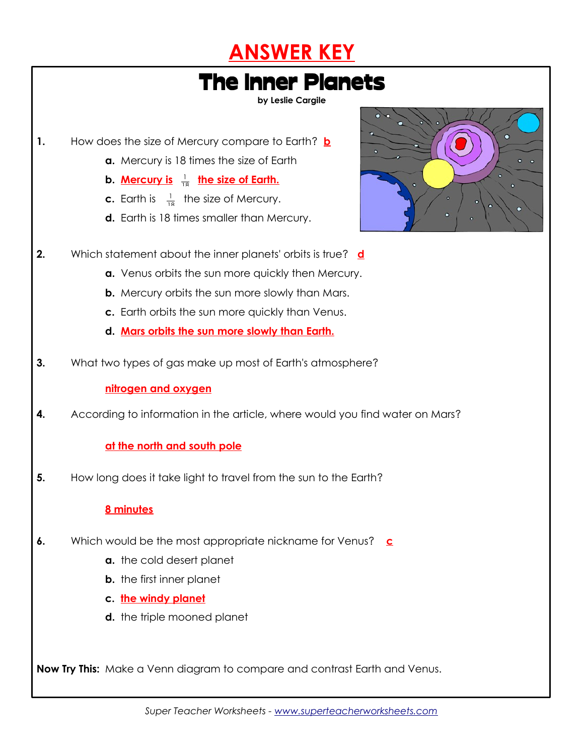



**by Leslie Cargile**

- **1.** How does the size of Mercury compare to Earth? **b**
	- **a.** Mercury is 18 times the size of Earth
	- **b. Mercury is** <sup>1</sup> <sup>18</sup> **the size of Earth.**
	- **c.** Earth is  $\frac{1}{18}$  the size of Mercury.
	- **d.** Earth is 18 times smaller than Mercury.



- **2.** Which statement about the inner planets' orbits is true? **d**
	- **a.** Venus orbits the sun more quickly then Mercury.
	- **b.** Mercury orbits the sun more slowly than Mars.
	- **c.** Earth orbits the sun more quickly than Venus.
	- **d. Mars orbits the sun more slowly than Earth.**
- **3.** What two types of gas make up most of Earth's atmosphere?

#### **nitrogen and oxygen**

**4.** According to information in the article, where would you find water on Mars?

#### **at the north and south pole**

**5.** How long does it take light to travel from the sun to the Earth?

#### **8 minutes**

- **6.** Which would be the most appropriate nickname for Venus? **c**
	- **a.** the cold desert planet
	- **b.** the first inner planet
	- **c. the windy planet**
	- **d.** the triple mooned planet

**Now Try This:** Make a Venn diagram to compare and contrast Earth and Venus.